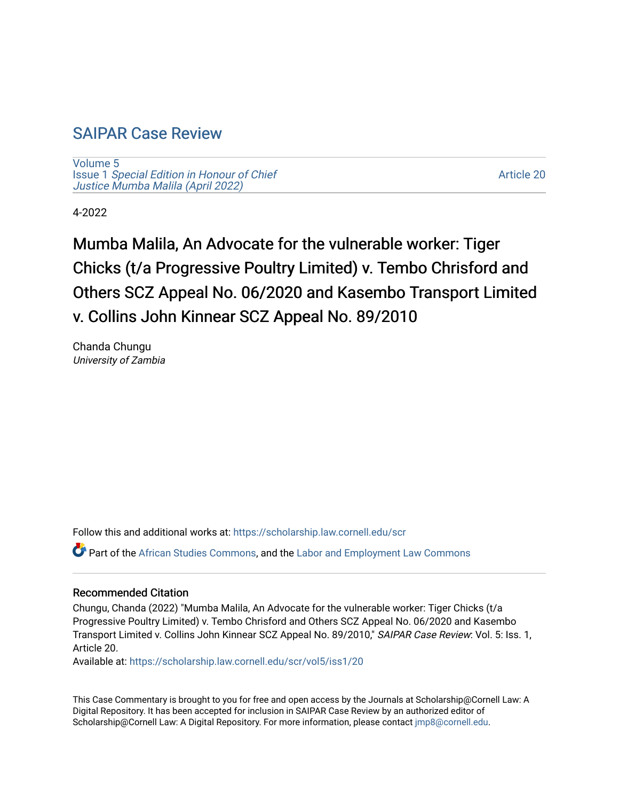# [SAIPAR Case Review](https://scholarship.law.cornell.edu/scr)

[Volume 5](https://scholarship.law.cornell.edu/scr/vol5) Issue 1 [Special Edition in Honour of Chief](https://scholarship.law.cornell.edu/scr/vol5/iss1) [Justice Mumba Malila \(April 2022\)](https://scholarship.law.cornell.edu/scr/vol5/iss1)

[Article 20](https://scholarship.law.cornell.edu/scr/vol5/iss1/20) 

4-2022

Mumba Malila, An Advocate for the vulnerable worker: Tiger Chicks (t/a Progressive Poultry Limited) v. Tembo Chrisford and Others SCZ Appeal No. 06/2020 and Kasembo Transport Limited v. Collins John Kinnear SCZ Appeal No. 89/2010

Chanda Chungu University of Zambia

Follow this and additional works at: [https://scholarship.law.cornell.edu/scr](https://scholarship.law.cornell.edu/scr?utm_source=scholarship.law.cornell.edu%2Fscr%2Fvol5%2Fiss1%2F20&utm_medium=PDF&utm_campaign=PDFCoverPages) 

Part of the [African Studies Commons,](https://network.bepress.com/hgg/discipline/1043?utm_source=scholarship.law.cornell.edu%2Fscr%2Fvol5%2Fiss1%2F20&utm_medium=PDF&utm_campaign=PDFCoverPages) and the [Labor and Employment Law Commons](https://network.bepress.com/hgg/discipline/909?utm_source=scholarship.law.cornell.edu%2Fscr%2Fvol5%2Fiss1%2F20&utm_medium=PDF&utm_campaign=PDFCoverPages) 

#### Recommended Citation

Chungu, Chanda (2022) "Mumba Malila, An Advocate for the vulnerable worker: Tiger Chicks (t/a Progressive Poultry Limited) v. Tembo Chrisford and Others SCZ Appeal No. 06/2020 and Kasembo Transport Limited v. Collins John Kinnear SCZ Appeal No. 89/2010," SAIPAR Case Review: Vol. 5: Iss. 1, Article 20.

Available at: [https://scholarship.law.cornell.edu/scr/vol5/iss1/20](https://scholarship.law.cornell.edu/scr/vol5/iss1/20?utm_source=scholarship.law.cornell.edu%2Fscr%2Fvol5%2Fiss1%2F20&utm_medium=PDF&utm_campaign=PDFCoverPages) 

This Case Commentary is brought to you for free and open access by the Journals at Scholarship@Cornell Law: A Digital Repository. It has been accepted for inclusion in SAIPAR Case Review by an authorized editor of Scholarship@Cornell Law: A Digital Repository. For more information, please contact [jmp8@cornell.edu](mailto:jmp8@cornell.edu).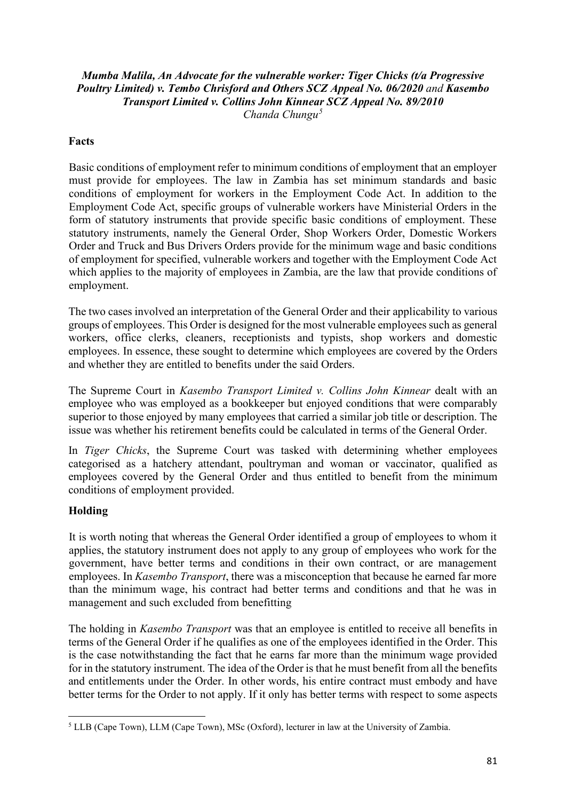### *Mumba Malila, An Advocate for the vulnerable worker: Tiger Chicks (t/a Progressive Poultry Limited) v. Tembo Chrisford and Others SCZ Appeal No. 06/2020 and Kasembo Transport Limited v. Collins John Kinnear SCZ Appeal No. 89/2010 Chanda Chungu[5](#page-1-0)*

## **Facts**

Basic conditions of employment refer to minimum conditions of employment that an employer must provide for employees. The law in Zambia has set minimum standards and basic conditions of employment for workers in the Employment Code Act. In addition to the Employment Code Act, specific groups of vulnerable workers have Ministerial Orders in the form of statutory instruments that provide specific basic conditions of employment. These statutory instruments, namely the General Order, Shop Workers Order, Domestic Workers Order and Truck and Bus Drivers Orders provide for the minimum wage and basic conditions of employment for specified, vulnerable workers and together with the Employment Code Act which applies to the majority of employees in Zambia, are the law that provide conditions of employment.

The two cases involved an interpretation of the General Order and their applicability to various groups of employees. This Order is designed for the most vulnerable employees such as general workers, office clerks, cleaners, receptionists and typists, shop workers and domestic employees. In essence, these sought to determine which employees are covered by the Orders and whether they are entitled to benefits under the said Orders.

The Supreme Court in *Kasembo Transport Limited v. Collins John Kinnear* dealt with an employee who was employed as a bookkeeper but enjoyed conditions that were comparably superior to those enjoyed by many employees that carried a similar job title or description. The issue was whether his retirement benefits could be calculated in terms of the General Order.

In *Tiger Chicks*, the Supreme Court was tasked with determining whether employees categorised as a hatchery attendant, poultryman and woman or vaccinator, qualified as employees covered by the General Order and thus entitled to benefit from the minimum conditions of employment provided.

### **Holding**

It is worth noting that whereas the General Order identified a group of employees to whom it applies, the statutory instrument does not apply to any group of employees who work for the government, have better terms and conditions in their own contract, or are management employees. In *Kasembo Transport*, there was a misconception that because he earned far more than the minimum wage, his contract had better terms and conditions and that he was in management and such excluded from benefitting

The holding in *Kasembo Transport* was that an employee is entitled to receive all benefits in terms of the General Order if he qualifies as one of the employees identified in the Order. This is the case notwithstanding the fact that he earns far more than the minimum wage provided for in the statutory instrument. The idea of the Order is that he must benefit from all the benefits and entitlements under the Order. In other words, his entire contract must embody and have better terms for the Order to not apply. If it only has better terms with respect to some aspects

<span id="page-1-0"></span><sup>5</sup> LLB (Cape Town), LLM (Cape Town), MSc (Oxford), lecturer in law at the University of Zambia.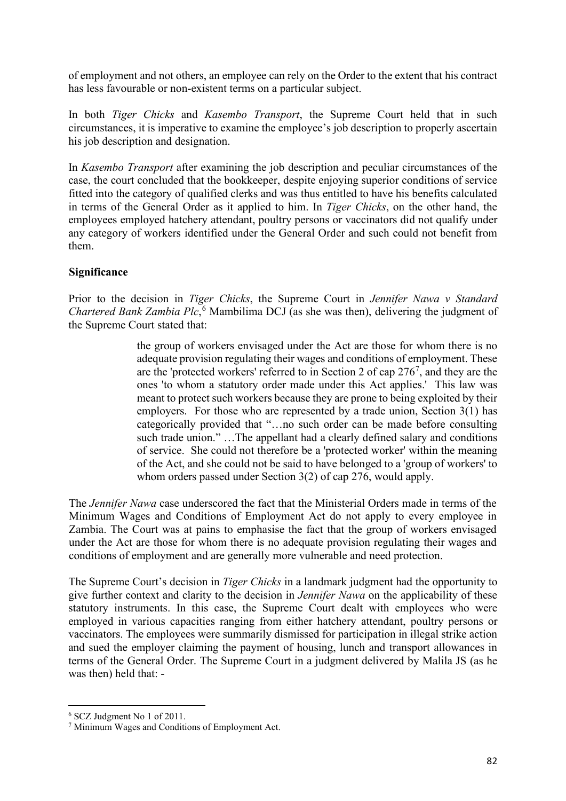of employment and not others, an employee can rely on the Order to the extent that his contract has less favourable or non-existent terms on a particular subject.

In both *Tiger Chicks* and *Kasembo Transport*, the Supreme Court held that in such circumstances, it is imperative to examine the employee's job description to properly ascertain his job description and designation.

In *Kasembo Transport* after examining the job description and peculiar circumstances of the case, the court concluded that the bookkeeper, despite enjoying superior conditions of service fitted into the category of qualified clerks and was thus entitled to have his benefits calculated in terms of the General Order as it applied to him. In *Tiger Chicks*, on the other hand, the employees employed hatchery attendant, poultry persons or vaccinators did not qualify under any category of workers identified under the General Order and such could not benefit from them.

# **Significance**

Prior to the decision in *Tiger Chicks*, the Supreme Court in *Jennifer Nawa v Standard Chartered Bank Zambia Plc*, [6](#page-2-0) Mambilima DCJ (as she was then), delivering the judgment of the Supreme Court stated that:

> the group of workers envisaged under the Act are those for whom there is no adequate provision regulating their wages and conditions of employment. These are the 'protected workers' referred to in Section 2 of cap  $276^7$  $276^7$  $276^7$ , and they are the ones 'to whom a statutory order made under this Act applies.' This law was meant to protect such workers because they are prone to being exploited by their employers. For those who are represented by a trade union, Section 3(1) has categorically provided that "…no such order can be made before consulting such trade union." …The appellant had a clearly defined salary and conditions of service. She could not therefore be a 'protected worker' within the meaning of the Act, and she could not be said to have belonged to a 'group of workers' to whom orders passed under Section 3(2) of cap 276, would apply.

The *Jennifer Nawa* case underscored the fact that the Ministerial Orders made in terms of the Minimum Wages and Conditions of Employment Act do not apply to every employee in Zambia. The Court was at pains to emphasise the fact that the group of workers envisaged under the Act are those for whom there is no adequate provision regulating their wages and conditions of employment and are generally more vulnerable and need protection.

The Supreme Court's decision in *Tiger Chicks* in a landmark judgment had the opportunity to give further context and clarity to the decision in *Jennifer Nawa* on the applicability of these statutory instruments. In this case, the Supreme Court dealt with employees who were employed in various capacities ranging from either hatchery attendant, poultry persons or vaccinators. The employees were summarily dismissed for participation in illegal strike action and sued the employer claiming the payment of housing, lunch and transport allowances in terms of the General Order. The Supreme Court in a judgment delivered by Malila JS (as he was then) held that: -

<span id="page-2-0"></span><sup>6</sup> SCZ Judgment No 1 of 2011.

<span id="page-2-1"></span><sup>7</sup> Minimum Wages and Conditions of Employment Act.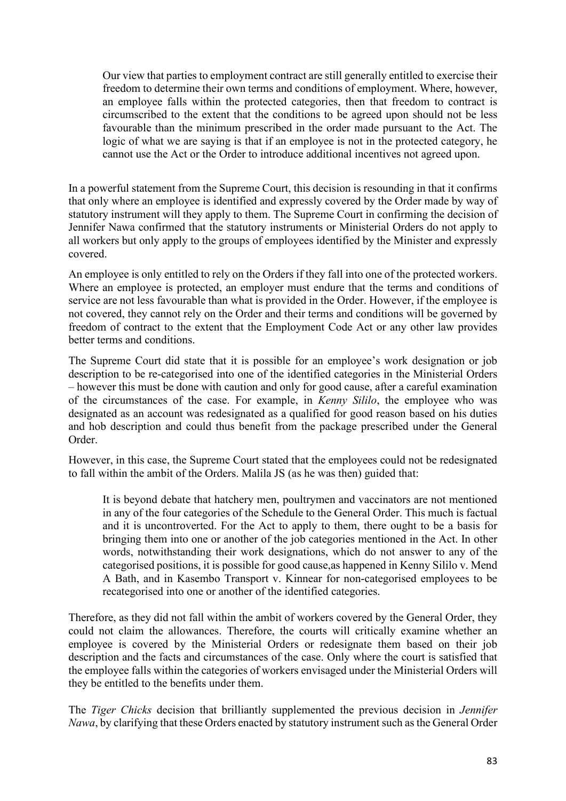Our view that parties to employment contract are still generally entitled to exercise their freedom to determine their own terms and conditions of employment. Where, however, an employee falls within the protected categories, then that freedom to contract is circumscribed to the extent that the conditions to be agreed upon should not be less favourable than the minimum prescribed in the order made pursuant to the Act. The logic of what we are saying is that if an employee is not in the protected category, he cannot use the Act or the Order to introduce additional incentives not agreed upon.

In a powerful statement from the Supreme Court, this decision is resounding in that it confirms that only where an employee is identified and expressly covered by the Order made by way of statutory instrument will they apply to them. The Supreme Court in confirming the decision of Jennifer Nawa confirmed that the statutory instruments or Ministerial Orders do not apply to all workers but only apply to the groups of employees identified by the Minister and expressly covered.

An employee is only entitled to rely on the Orders if they fall into one of the protected workers. Where an employee is protected, an employer must endure that the terms and conditions of service are not less favourable than what is provided in the Order. However, if the employee is not covered, they cannot rely on the Order and their terms and conditions will be governed by freedom of contract to the extent that the Employment Code Act or any other law provides better terms and conditions.

The Supreme Court did state that it is possible for an employee's work designation or job description to be re-categorised into one of the identified categories in the Ministerial Orders – however this must be done with caution and only for good cause, after a careful examination of the circumstances of the case. For example, in *Kenny Sililo*, the employee who was designated as an account was redesignated as a qualified for good reason based on his duties and hob description and could thus benefit from the package prescribed under the General Order.

However, in this case, the Supreme Court stated that the employees could not be redesignated to fall within the ambit of the Orders. Malila JS (as he was then) guided that:

It is beyond debate that hatchery men, poultrymen and vaccinators are not mentioned in any of the four categories of the Schedule to the General Order. This much is factual and it is uncontroverted. For the Act to apply to them, there ought to be a basis for bringing them into one or another of the job categories mentioned in the Act. In other words, notwithstanding their work designations, which do not answer to any of the categorised positions, it is possible for good cause,as happened in Kenny Sililo v. Mend A Bath, and in Kasembo Transport v. Kinnear for non-categorised employees to be recategorised into one or another of the identified categories.

Therefore, as they did not fall within the ambit of workers covered by the General Order, they could not claim the allowances. Therefore, the courts will critically examine whether an employee is covered by the Ministerial Orders or redesignate them based on their job description and the facts and circumstances of the case. Only where the court is satisfied that the employee falls within the categories of workers envisaged under the Ministerial Orders will they be entitled to the benefits under them.

The *Tiger Chicks* decision that brilliantly supplemented the previous decision in *Jennifer Nawa*, by clarifying that these Orders enacted by statutory instrument such as the General Order